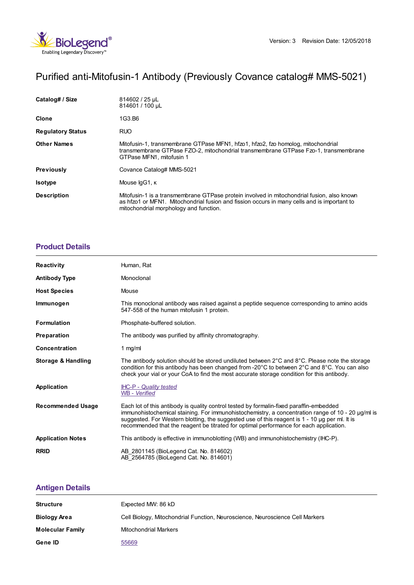

# Purified anti-Mitofusin-1 Antibody (Previously Covance catalog# MMS-5021)

| Catalog# / Size          | 814602 / 25 µL<br>814601 / 100 µL                                                                                                                                                                                                   |
|--------------------------|-------------------------------------------------------------------------------------------------------------------------------------------------------------------------------------------------------------------------------------|
| <b>Clone</b>             | 1G3.B6                                                                                                                                                                                                                              |
| <b>Regulatory Status</b> | RUO.                                                                                                                                                                                                                                |
| <b>Other Names</b>       | Mitofusin-1, transmembrane GTPase MFN1, hfzo1, hfzo2, fzo homolog, mitochondrial<br>transmembrane GTPase FZO-2, mitochondrial transmembrane GTPase Fzo-1, transmembrane<br>GTPase MFN1, mitofusin 1                                 |
| <b>Previously</b>        | Covance Catalog# MMS-5021                                                                                                                                                                                                           |
| <b>Isotype</b>           | Mouse IgG1, K                                                                                                                                                                                                                       |
| <b>Description</b>       | Mitofusin-1 is a transmembrane GTPase protein involved in mitochondrial fusion, also known<br>as hfzo1 or MFN1. Mitochondrial fusion and fission occurs in many cells and is important to<br>mitochondrial morphology and function. |

## **[Product](https://production-dynamicweb.biolegend.com/en-gb/products/purified-anti-mitofusin-1-antibody-11449?pdf=true&displayInline=true&leftRightMargin=15&topBottomMargin=15&filename=Purified anti-Mitofusin-1 Antibody.pdf#productDetails) Details**

| Reactivity               | Human, Rat                                                                                                                                                                                                                                                                                                                                                                                   |
|--------------------------|----------------------------------------------------------------------------------------------------------------------------------------------------------------------------------------------------------------------------------------------------------------------------------------------------------------------------------------------------------------------------------------------|
| <b>Antibody Type</b>     | Monoclonal                                                                                                                                                                                                                                                                                                                                                                                   |
| <b>Host Species</b>      | Mouse                                                                                                                                                                                                                                                                                                                                                                                        |
| Immunogen                | This monoclonal antibody was raised against a peptide sequence corresponding to amino acids<br>547-558 of the human mitofusin 1 protein.                                                                                                                                                                                                                                                     |
| <b>Formulation</b>       | Phosphate-buffered solution.                                                                                                                                                                                                                                                                                                                                                                 |
| <b>Preparation</b>       | The antibody was purified by affinity chromatography.                                                                                                                                                                                                                                                                                                                                        |
| Concentration            | 1 $mg/ml$                                                                                                                                                                                                                                                                                                                                                                                    |
| Storage & Handling       | The antibody solution should be stored undiluted between 2°C and 8°C. Please note the storage<br>condition for this antibody has been changed from -20°C to between 2°C and 8°C. You can also<br>check your vial or your CoA to find the most accurate storage condition for this antibody.                                                                                                  |
| Application              | <b>IHC-P - Quality tested</b><br>WB - Verified                                                                                                                                                                                                                                                                                                                                               |
| <b>Recommended Usage</b> | Each lot of this antibody is quality control tested by formalin-fixed paraffin-embedded<br>immunohistochemical staining. For immunohistochemistry, a concentration range of $10 - 20 \mu g/ml$ is<br>suggested. For Western blotting, the suggested use of this reagent is 1 - 10 µg per ml. It is<br>recommended that the reagent be titrated for optimal performance for each application. |
| <b>Application Notes</b> | This antibody is effective in immunoblotting (WB) and immunohistochemistry (IHC-P).                                                                                                                                                                                                                                                                                                          |
| <b>RRID</b>              | AB 2801145 (BioLegend Cat. No. 814602)<br>AB 2564785 (BioLegend Cat. No. 814601)                                                                                                                                                                                                                                                                                                             |

## **[Antigen](https://production-dynamicweb.biolegend.com/en-gb/products/purified-anti-mitofusin-1-antibody-11449?pdf=true&displayInline=true&leftRightMargin=15&topBottomMargin=15&filename=Purified anti-Mitofusin-1 Antibody.pdf#antigenDetails) Details**

| <b>Structure</b>        | Expected MW: 86 kD                                                            |
|-------------------------|-------------------------------------------------------------------------------|
| <b>Biology Area</b>     | Cell Biology, Mitochondrial Function, Neuroscience, Neuroscience Cell Markers |
| <b>Molecular Family</b> | <b>Mitochondrial Markers</b>                                                  |
| Gene ID                 | 55669                                                                         |